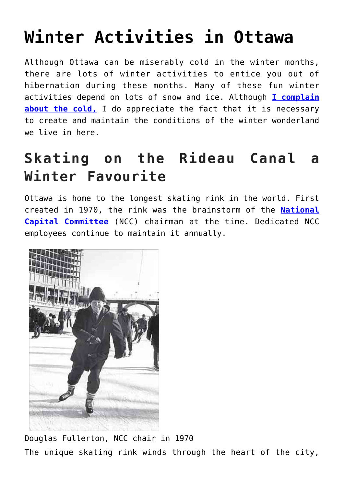## **[Winter Activities in Ottawa](https://loreeebee.ca/2022/01/30/winter-activities-in-ottawa/)**

Although Ottawa can be miserably cold in the winter months, there are lots of winter activities to entice you out of hibernation during these months. Many of these fun winter activities depend on lots of snow and ice. Although **[I complain](https://loreeebee.ca/2022/01/11/cold-weather-can-one-be-allergic-to-it/) [about the cold,](https://loreeebee.ca/2022/01/11/cold-weather-can-one-be-allergic-to-it/)** I do appreciate the fact that it is necessary to create and maintain the conditions of the winter wonderland we live in here.

## **Skating on the Rideau Canal a Winter Favourite**

Ottawa is home to the longest skating rink in the world. First created in 1970, the rink was the brainstorm of the **[National](https://ncc-ccn.gc.ca/places/history-rideau-canal-skateway) [Capital Committee](https://ncc-ccn.gc.ca/places/history-rideau-canal-skateway)** (NCC) chairman at the time. Dedicated NCC employees continue to maintain it annually.



Douglas Fullerton, NCC chair in 1970 The unique skating rink winds through the heart of the city,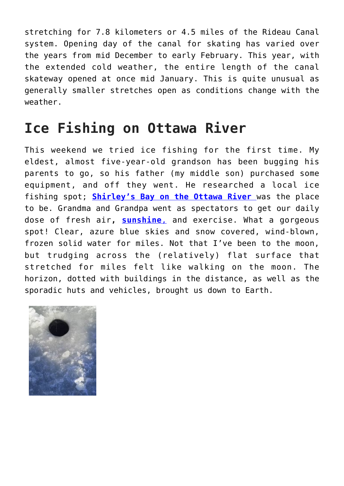stretching for 7.8 kilometers or 4.5 miles of the Rideau Canal system. Opening day of the canal for skating has varied over the years from mid December to early February. This year, with the extended cold weather, the entire length of the canal skateway opened at once mid January. This is quite unusual as generally smaller stretches open as conditions change with the weather.

## **Ice Fishing on Ottawa River**

This weekend we tried ice fishing for the first time. My eldest, almost five-year-old grandson has been bugging his parents to go, so his father (my middle son) purchased some equipment, and off they went. He researched a local ice fishing spot; **[Shirley's Bay on the Ottawa River](https://www.google.ca/maps/place/Shirleys+Bay/@45.3732464,-75.9098586,14z/data=!3m1!4b1!4m5!3m4!1s0x4cd1fe3398c318a5:0xe407853a5ec79900!8m2!3d45.3732483!4d-75.892349)** was the place to be. Grandma and Grandpa went as spectators to get our daily dose of fresh air**, [sunshine](#page--1-0)**[,](#page--1-0) and exercise. What a gorgeous spot! Clear, azure blue skies and snow covered, wind-blown, frozen solid water for miles. Not that I've been to the moon, but trudging across the (relatively) flat surface that stretched for miles felt like walking on the moon. The horizon, dotted with buildings in the distance, as well as the sporadic huts and vehicles, brought us down to Earth.

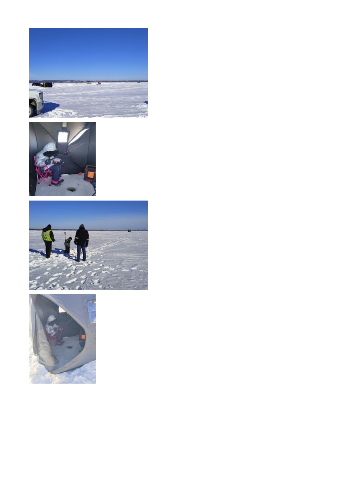





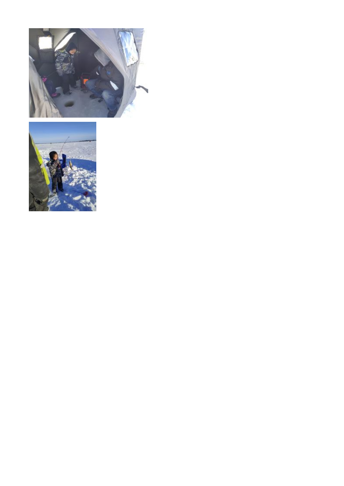

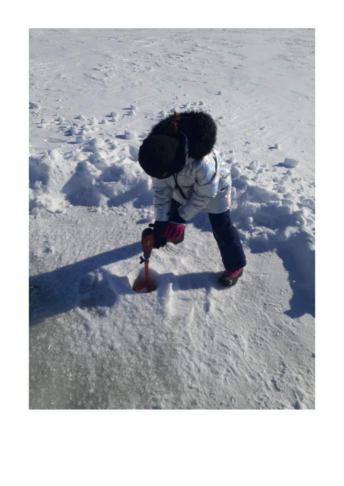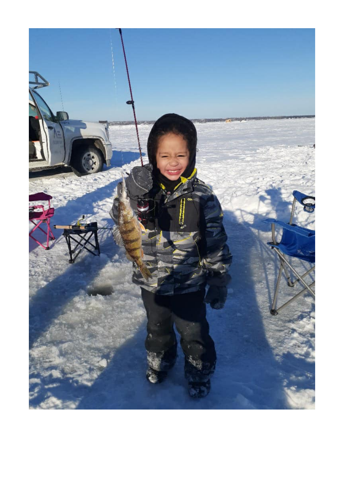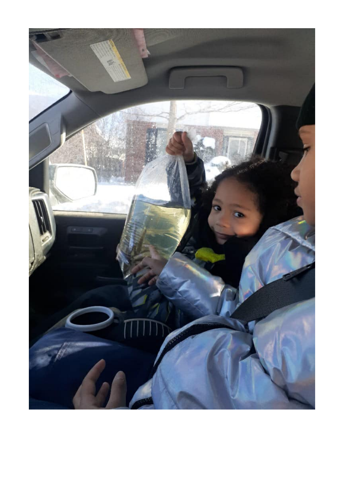